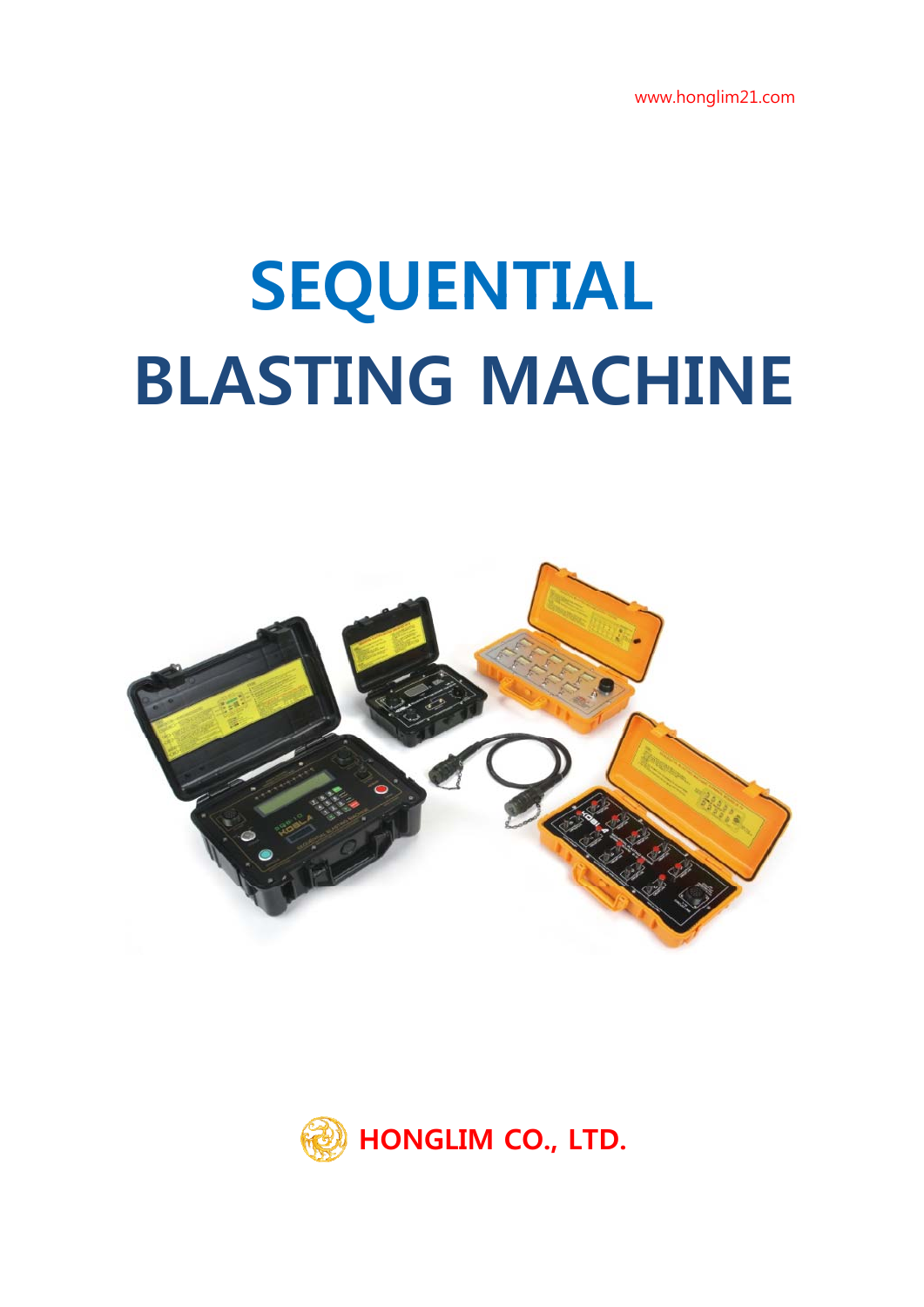www.honglim21.com

# **SEQUENTIAL BLASTING MACHINE**



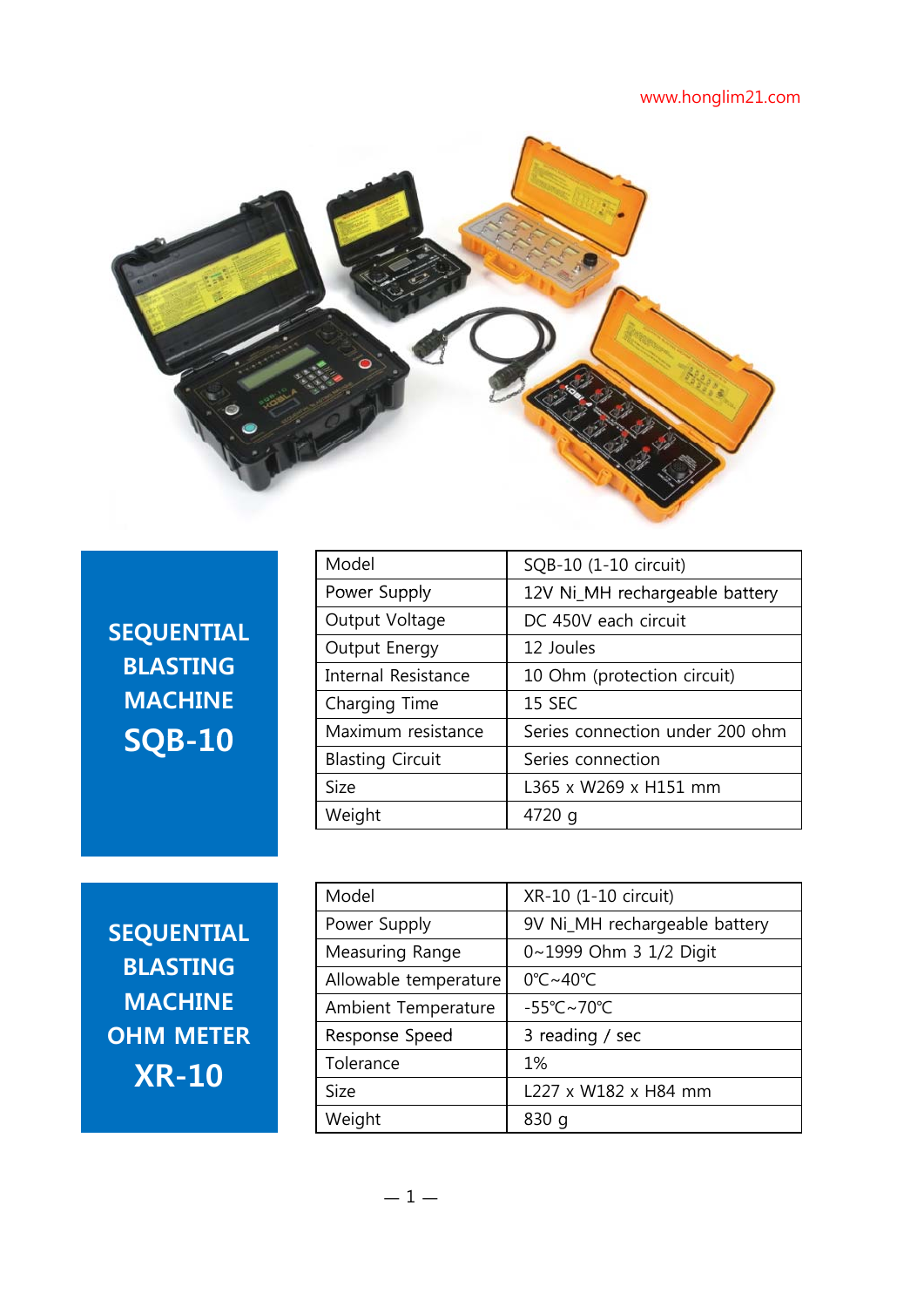#### www.honglim21.com



**SEQUENTIAL BLASTING MACHINE**

|                  | Model                      | SQB-10 (1-10 circuit)           |
|------------------|----------------------------|---------------------------------|
|                  | Power Supply               | 12V Ni_MH rechargeable battery  |
| <b>EQUENTIAL</b> | Output Voltage             | DC 450V each circuit            |
|                  | Output Energy              | 12 Joules                       |
| <b>BLASTING</b>  | <b>Internal Resistance</b> | 10 Ohm (protection circuit)     |
| <b>MACHINE</b>   | Charging Time              | <b>15 SEC</b>                   |
| <b>SQB-10</b>    | Maximum resistance         | Series connection under 200 ohm |
|                  | <b>Blasting Circuit</b>    | Series connection               |
|                  | <b>Size</b>                | L365 x W269 x H151 mm           |
|                  | Weight                     | 4720 g                          |

|                   | Model                 | XR-10 (1-10 circuit)                   |
|-------------------|-----------------------|----------------------------------------|
| <b>SEQUENTIAL</b> | Power Supply          | 9V Ni_MH rechargeable battery          |
|                   | Measuring Range       | 0~1999 Ohm 3 1/2 Digit                 |
| <b>BLASTING</b>   | Allowable temperature | 0°C~40°C                               |
| <b>MACHINE</b>    | Ambient Temperature   | $-55^{\circ}$ C $\sim$ 70 $^{\circ}$ C |
| <b>OHM METER</b>  | Response Speed        | 3 reading / sec                        |
| <b>XR-10</b>      | Tolerance             | 1%                                     |
|                   | <b>Size</b>           | L227 x W182 x H84 mm                   |
|                   | Weight                | 830q                                   |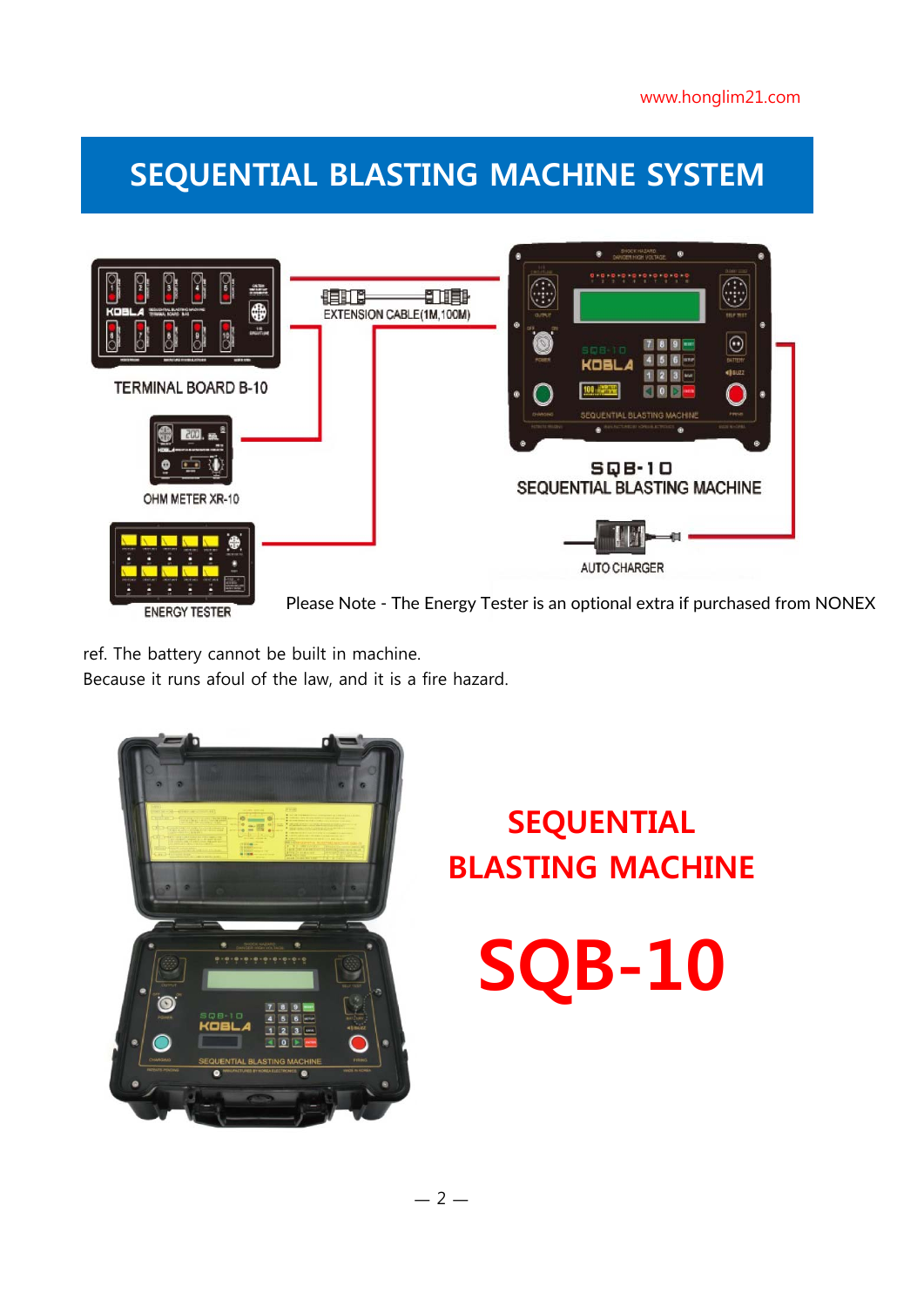## **SEQUENTIAL BLASTING MACHINE SYSTEM**



**ENERGY TESTER** 

Please Note - The Energy Tester is an optional extra if purchased from NONEX

ref. The battery cannot be built in machine.

Because it runs afoul of the law, and it is a fire hazard.



## **SEQUENTIAL BLASTING MACHINE**

**SQB-10**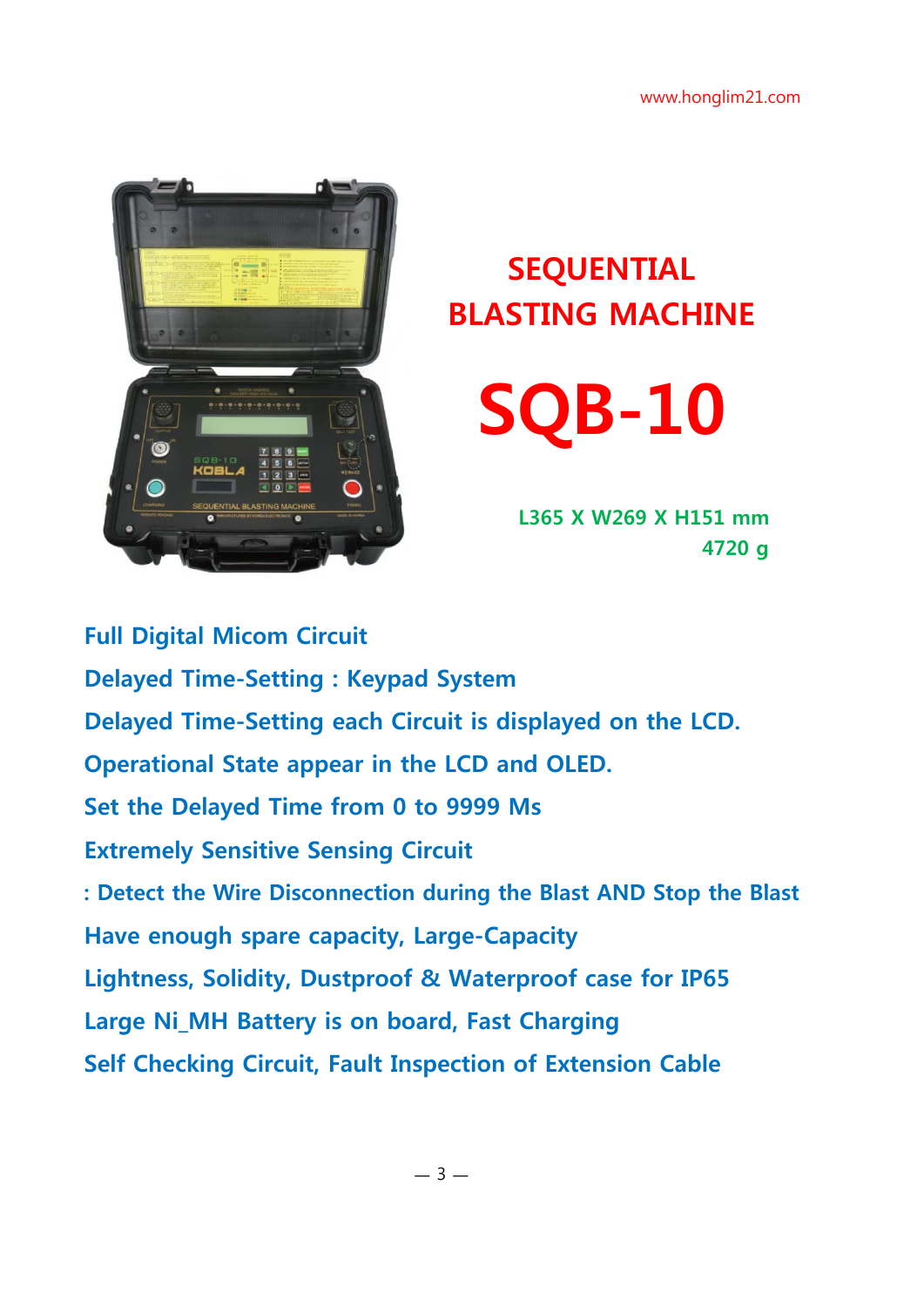

## **SEQUENTIAL BLASTING MACHINE**

**SQB-10**

**L365 X W269 X H151 mm 4720 g**

**Full Digital Micom Circuit Delayed Time-Setting : Keypad System Delayed Time-Setting each Circuit is displayed on the LCD. Operational State appear in the LCD and OLED. Set the Delayed Time from 0 to 9999 Ms Extremely Sensitive Sensing Circuit : Detect the Wire Disconnection during the Blast AND Stop the Blast Have enough spare capacity, Large-Capacity Lightness, Solidity, Dustproof & Waterproof case for IP65 Large Ni\_MH Battery is on board, Fast Charging Self Checking Circuit, Fault Inspection of Extension Cable**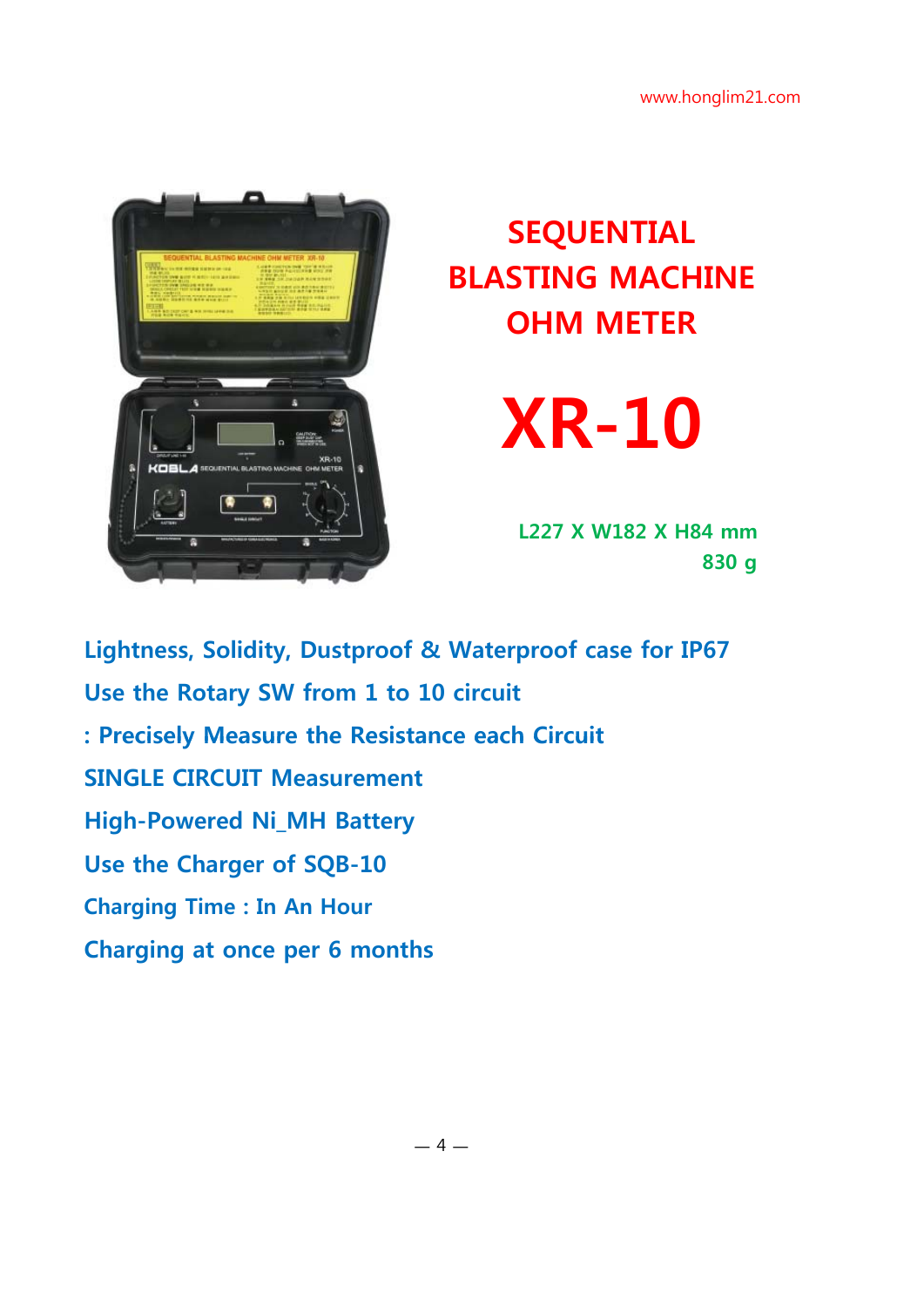

# **SEQUENTIAL BLASTING MACHINE OHM METER**

# **XR-10**

**L227 X W182 X H84 mm 830 g**

**Lightness, Solidity, Dustproof & Waterproof case for IP67 Use the Rotary SW from 1 to 10 circuit : Precisely Measure the Resistance each Circuit : Precisely Measure the Resistance each SINGLE CIRCUIT Measurement High-Powered Ni\_MH Battery Use the Charger of SQB-10 Charging Time : In An Hour Charging at once per 6 months**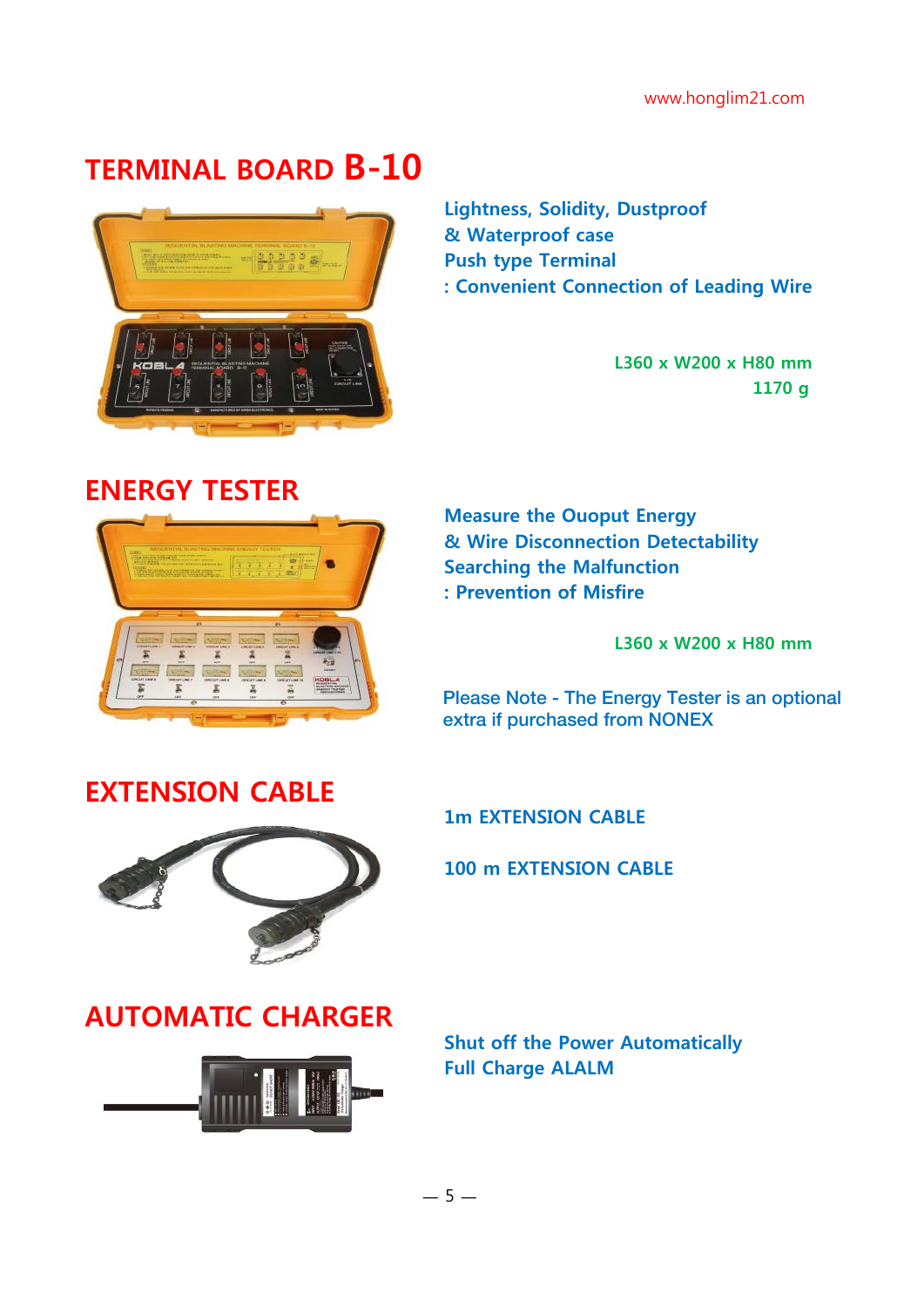### **TERMINAL BOARD B-10**



**Lightness, Solidity, Dustproof & Waterproof case Push type Terminal : Convenient Connection of Leading Wire**

**L360 x W200 x H80 mm 1170 g**

### **ENERGY TESTER**



**Measure the Ouoput Energy & Wire Disconnection Detectability Searching the Malfunction : Prevention of Misfire : Prevention of**

**L360 x W200 x H80 mm**

Please Note - The Energy Tester is an optional extra if purchased from NONEX

#### **EXTENSION CABLE**



**1m EXTENSION CABLE**

**100 m EXTENSION CABLE**

### **AUTOMATIC CHARGER**



**Shut off the Power Automatically Full Charge ALALM**